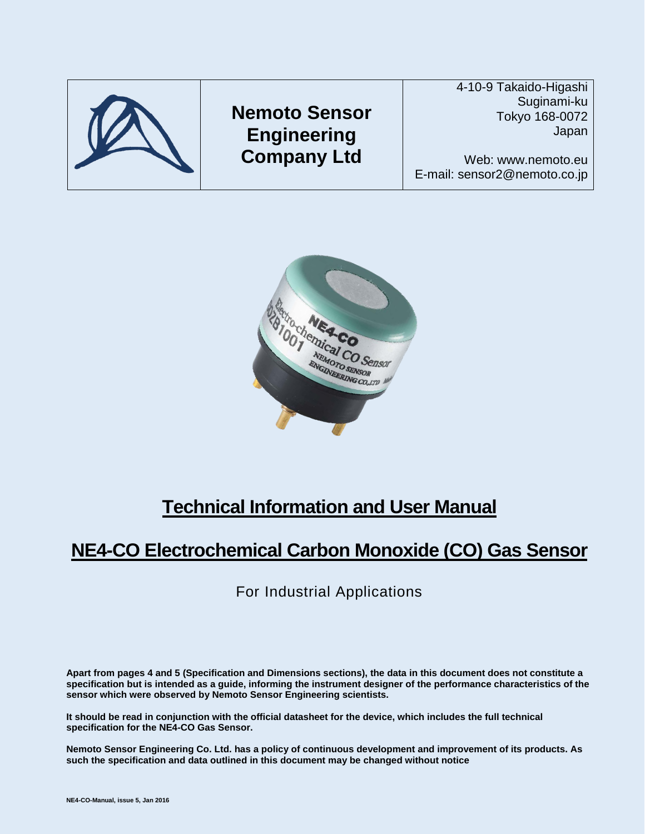



# **Technical Information and User Manual**

# **NE4-CO Electrochemical Carbon Monoxide (CO) Gas Sensor**

For Industrial Applications

**Apart from pages 4 and 5 (Specification and Dimensions sections), the data in this document does not constitute a specification but is intended as a guide, informing the instrument designer of the performance characteristics of the sensor which were observed by Nemoto Sensor Engineering scientists.**

**It should be read in conjunction with the official datasheet for the device, which includes the full technical specification for the NE4-CO Gas Sensor.**

**Nemoto Sensor Engineering Co. Ltd. has a policy of continuous development and improvement of its products. As such the specification and data outlined in this document may be changed without notice**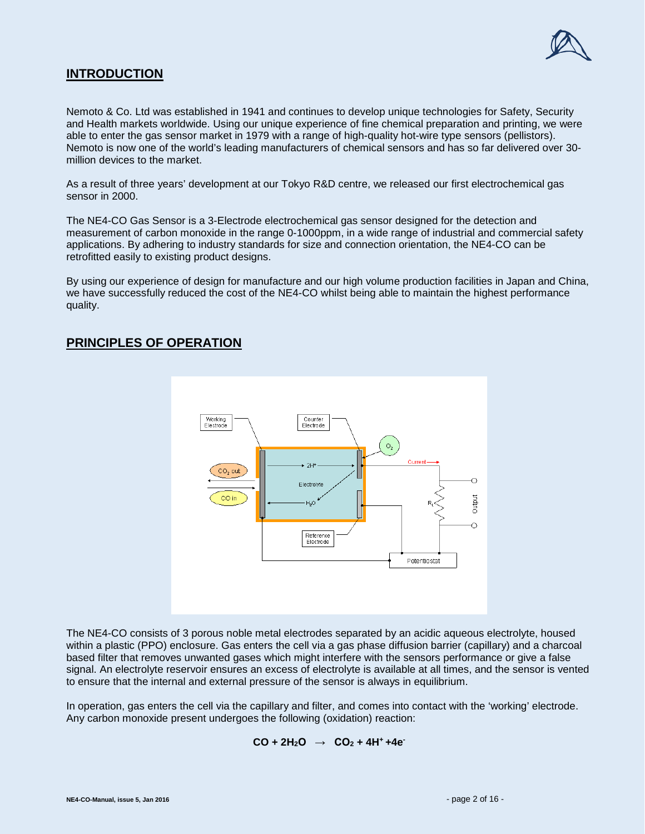

# **INTRODUCTION**

Nemoto & Co. Ltd was established in 1941 and continues to develop unique technologies for Safety, Security and Health markets worldwide. Using our unique experience of fine chemical preparation and printing, we were able to enter the gas sensor market in 1979 with a range of high-quality hot-wire type sensors (pellistors). Nemoto is now one of the world's leading manufacturers of chemical sensors and has so far delivered over 30 million devices to the market.

As a result of three years' development at our Tokyo R&D centre, we released our first electrochemical gas sensor in 2000.

The NE4-CO Gas Sensor is a 3-Electrode electrochemical gas sensor designed for the detection and measurement of carbon monoxide in the range 0-1000ppm, in a wide range of industrial and commercial safety applications. By adhering to industry standards for size and connection orientation, the NE4-CO can be retrofitted easily to existing product designs.

By using our experience of design for manufacture and our high volume production facilities in Japan and China, we have successfully reduced the cost of the NE4-CO whilst being able to maintain the highest performance quality.

# **PRINCIPLES OF OPERATION**



The NE4-CO consists of 3 porous noble metal electrodes separated by an acidic aqueous electrolyte, housed within a plastic (PPO) enclosure. Gas enters the cell via a gas phase diffusion barrier (capillary) and a charcoal based filter that removes unwanted gases which might interfere with the sensors performance or give a false signal. An electrolyte reservoir ensures an excess of electrolyte is available at all times, and the sensor is vented to ensure that the internal and external pressure of the sensor is always in equilibrium.

In operation, gas enters the cell via the capillary and filter, and comes into contact with the 'working' electrode. Any carbon monoxide present undergoes the following (oxidation) reaction:

$$
CO + 2H_2O \rightarrow CO_2 + 4H^+ + 4e^-
$$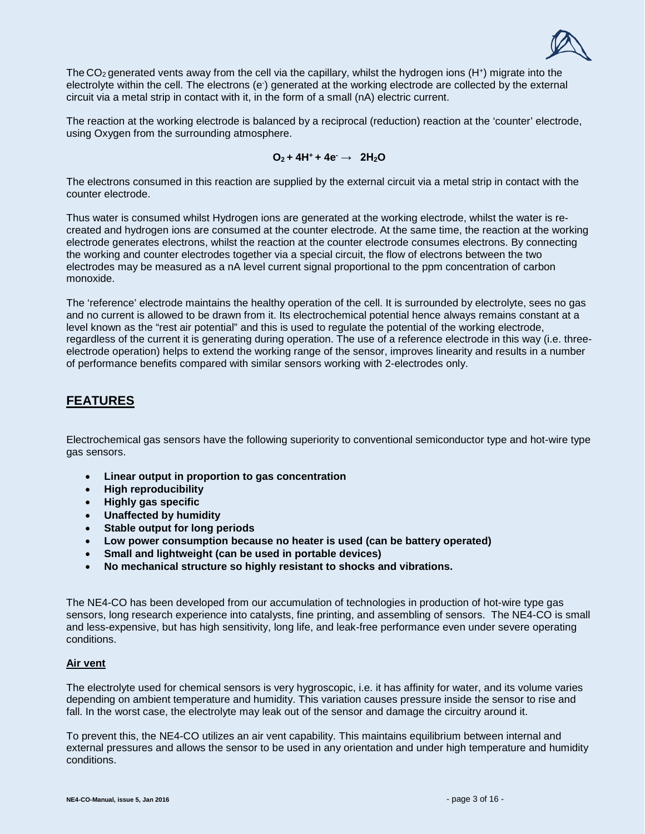

The CO<sub>2</sub> generated vents away from the cell via the capillary, whilst the hydrogen ions (H<sup>+</sup>) migrate into the electrolyte within the cell. The electrons (e<sup>.</sup>) generated at the working electrode are collected by the external circuit via a metal strip in contact with it, in the form of a small (nA) electric current.

The reaction at the working electrode is balanced by a reciprocal (reduction) reaction at the 'counter' electrode, using Oxygen from the surrounding atmosphere.

## $Q_2 + 4H^+ + 4e^- \rightarrow 2H_2O$

The electrons consumed in this reaction are supplied by the external circuit via a metal strip in contact with the counter electrode.

Thus water is consumed whilst Hydrogen ions are generated at the working electrode, whilst the water is recreated and hydrogen ions are consumed at the counter electrode. At the same time, the reaction at the working electrode generates electrons, whilst the reaction at the counter electrode consumes electrons. By connecting the working and counter electrodes together via a special circuit, the flow of electrons between the two electrodes may be measured as a nA level current signal proportional to the ppm concentration of carbon monoxide.

The 'reference' electrode maintains the healthy operation of the cell. It is surrounded by electrolyte, sees no gas and no current is allowed to be drawn from it. Its electrochemical potential hence always remains constant at a level known as the "rest air potential" and this is used to regulate the potential of the working electrode, regardless of the current it is generating during operation. The use of a reference electrode in this way (i.e. threeelectrode operation) helps to extend the working range of the sensor, improves linearity and results in a number of performance benefits compared with similar sensors working with 2-electrodes only.

# **FEATURES**

Electrochemical gas sensors have the following superiority to conventional semiconductor type and hot-wire type gas sensors.

- **Linear output in proportion to gas concentration**
- **High reproducibility**
- **Highly gas specific**
- **Unaffected by humidity**
- **Stable output for long periods**
- **Low power consumption because no heater is used (can be battery operated)**
- **Small and lightweight (can be used in portable devices)**
- **No mechanical structure so highly resistant to shocks and vibrations.**

The NE4-CO has been developed from our accumulation of technologies in production of hot-wire type gas sensors, long research experience into catalysts, fine printing, and assembling of sensors. The NE4-CO is small and less-expensive, but has high sensitivity, long life, and leak-free performance even under severe operating conditions.

#### **Air vent**

The electrolyte used for chemical sensors is very hygroscopic, i.e. it has affinity for water, and its volume varies depending on ambient temperature and humidity. This variation causes pressure inside the sensor to rise and fall. In the worst case, the electrolyte may leak out of the sensor and damage the circuitry around it.

To prevent this, the NE4-CO utilizes an air vent capability. This maintains equilibrium between internal and external pressures and allows the sensor to be used in any orientation and under high temperature and humidity conditions.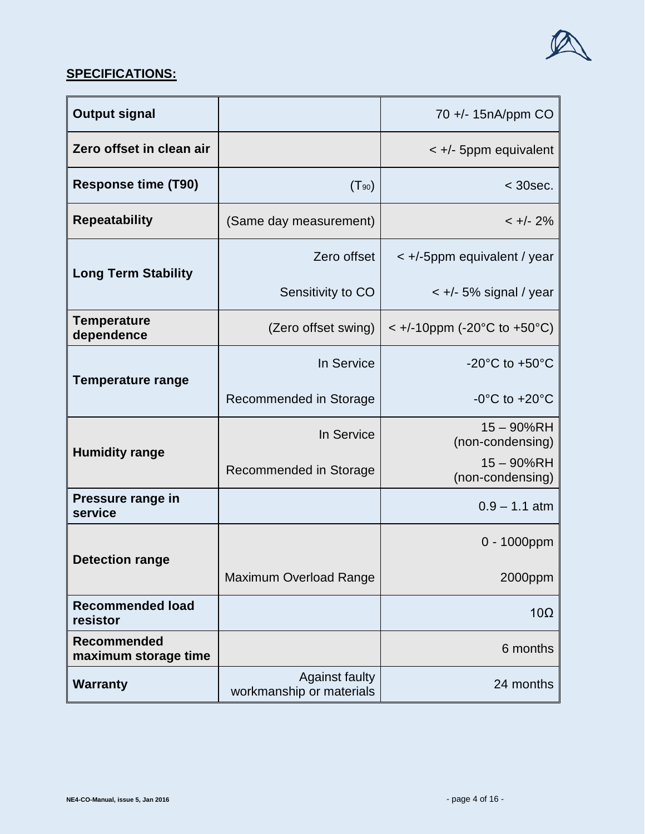

# **SPECIFICATIONS:**

| <b>Output signal</b>                       |                                                   | 70 +/- 15nA/ppm CO                 |
|--------------------------------------------|---------------------------------------------------|------------------------------------|
| Zero offset in clean air                   |                                                   | $\lt$ +/- 5ppm equivalent          |
| <b>Response time (T90)</b>                 | $(T_{90})$                                        | $< 30$ sec.                        |
| <b>Repeatability</b>                       | (Same day measurement)                            | $< +/- 2\%$                        |
|                                            | Zero offset                                       | $\lt$ +/-5ppm equivalent / year    |
| <b>Long Term Stability</b>                 | Sensitivity to CO                                 | $\lt$ +/- 5% signal / year         |
| <b>Temperature</b><br>dependence           | (Zero offset swing)                               | $\leq$ +/-10ppm (-20°C to +50°C)   |
|                                            | In Service                                        | $-20^{\circ}$ C to $+50^{\circ}$ C |
| <b>Temperature range</b>                   | Recommended in Storage                            | $-0^{\circ}$ C to $+20^{\circ}$ C  |
|                                            | In Service                                        | $15 - 90\%RH$<br>(non-condensing)  |
| <b>Humidity range</b>                      | Recommended in Storage                            | $15 - 90%$ RH<br>(non-condensing)  |
| Pressure range in<br>service               |                                                   | $0.9 - 1.1$ atm                    |
|                                            |                                                   | $0 - 1000$ ppm                     |
| <b>Detection range</b>                     | <b>Maximum Overload Range</b>                     | 2000ppm                            |
| <b>Recommended load</b><br>resistor        |                                                   | $10\Omega$                         |
| <b>Recommended</b><br>maximum storage time |                                                   | 6 months                           |
| <b>Warranty</b>                            | <b>Against faulty</b><br>workmanship or materials | 24 months                          |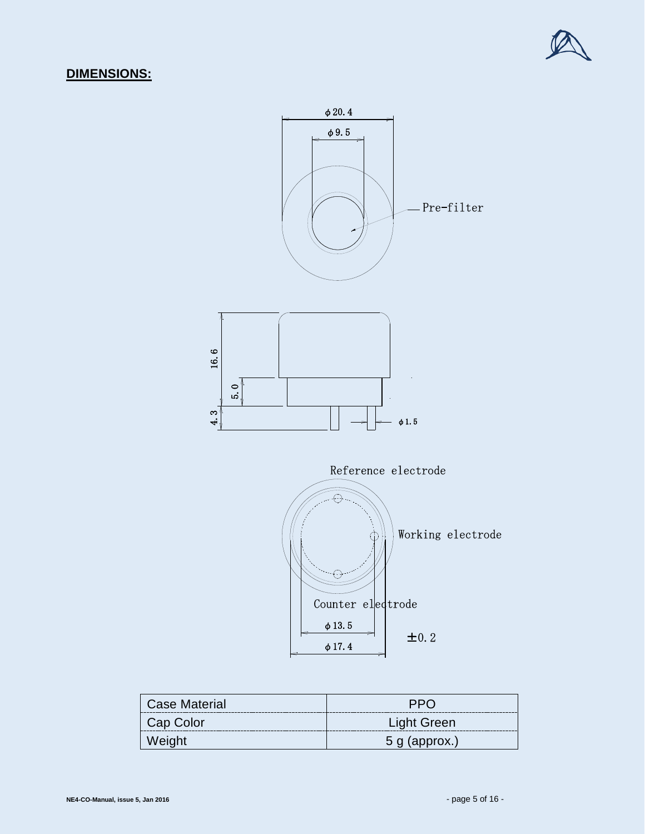

# **DIMENSIONS:**



| <b>Case Material</b> | <b>PPO</b>         |
|----------------------|--------------------|
| Cap Color            | <b>Light Green</b> |
| Weight               | $5$ g (approx.)    |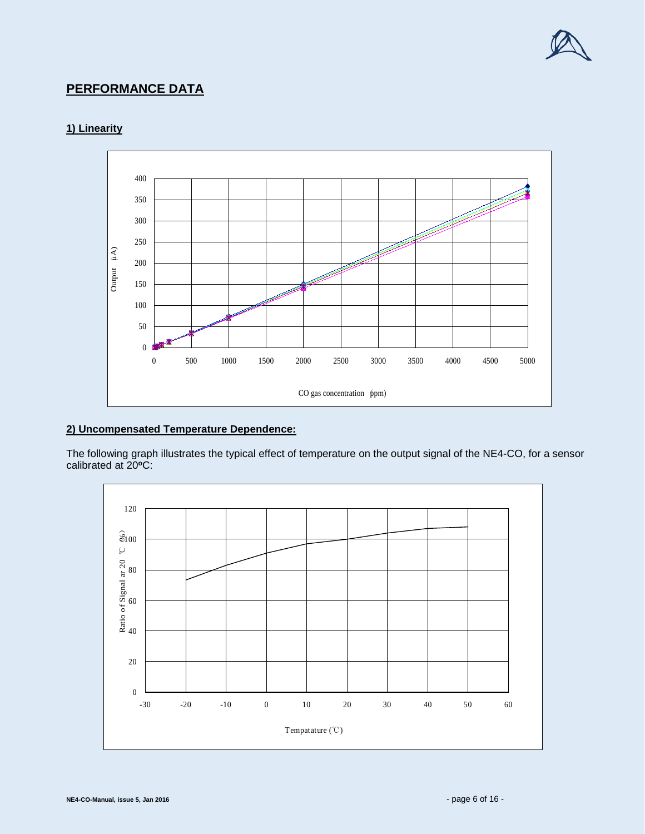

# **PERFORMANCE DATA**

# **1) Linearity**



## **2) Uncompensated Temperature Dependence:**

The following graph illustrates the typical effect of temperature on the output signal of the NE4-CO, for a sensor calibrated at 20**<sup>o</sup>**C:

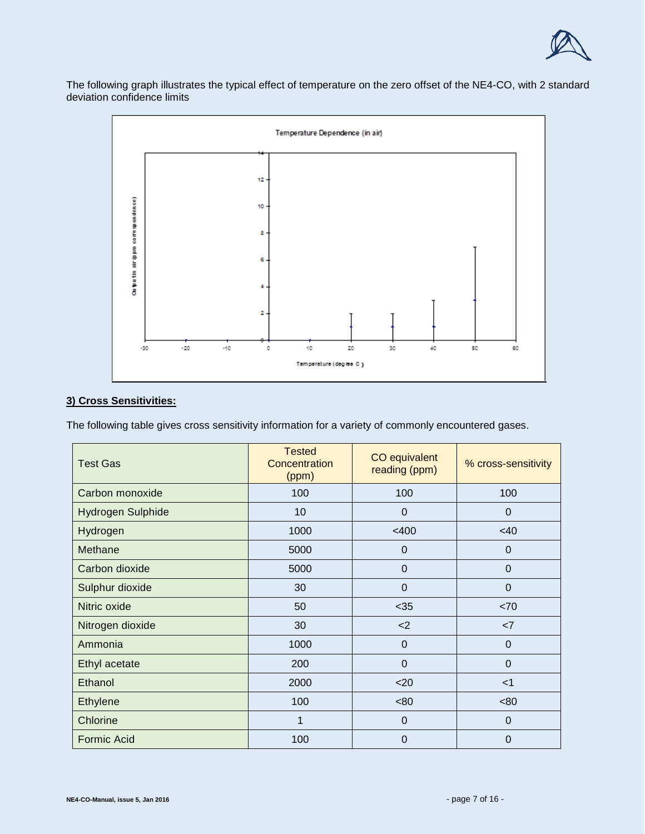

The following graph illustrates the typical effect of temperature on the zero offset of the NE4-CO, with 2 standard deviation confidence limits



## **3) Cross Sensitivities:**

The following table gives cross sensitivity information for a variety of commonly encountered gases.

| <b>Test Gas</b>    | <b>Tested</b><br>Concentration<br>(ppm) | CO equivalent<br>reading (ppm) | % cross-sensitivity |
|--------------------|-----------------------------------------|--------------------------------|---------------------|
| Carbon monoxide    | 100                                     | 100                            | 100                 |
| Hydrogen Sulphide  | 10                                      | $\Omega$                       | $\Omega$            |
| Hydrogen           | 1000                                    | $<$ 400                        | <40                 |
| Methane            | 5000                                    | $\mathbf 0$                    | $\mathbf 0$         |
| Carbon dioxide     | 5000                                    | $\Omega$                       | $\Omega$            |
| Sulphur dioxide    | 30                                      | $\mathbf 0$                    | $\mathbf 0$         |
| Nitric oxide       | 50                                      | $35$                           | <70                 |
| Nitrogen dioxide   | 30                                      | $<$ 2                          | <7                  |
| Ammonia            | 1000                                    | $\mathbf 0$                    | $\mathbf 0$         |
| Ethyl acetate      | 200                                     | $\mathbf 0$                    | $\mathbf 0$         |
| Ethanol            | 2000                                    | $20$                           | $<$ 1               |
| <b>Ethylene</b>    | 100                                     | <80                            | <80                 |
| Chlorine           | 1                                       | $\mathbf 0$                    | $\mathbf 0$         |
| <b>Formic Acid</b> | 100                                     | $\mathbf 0$                    | 0                   |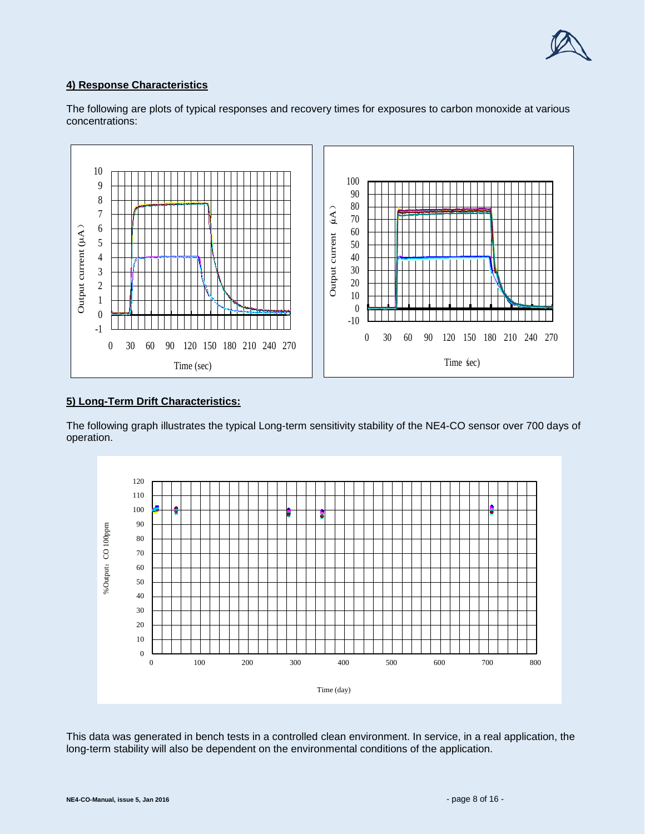

## **4) Response Characteristics**



The following are plots of typical responses and recovery times for exposures to carbon monoxide at various concentrations:

## **5) Long-Term Drift Characteristics:**

The following graph illustrates the typical Long-term sensitivity stability of the NE4-CO sensor over 700 days of operation.



This data was generated in bench tests in a controlled clean environment. In service, in a real application, the long-term stability will also be dependent on the environmental conditions of the application.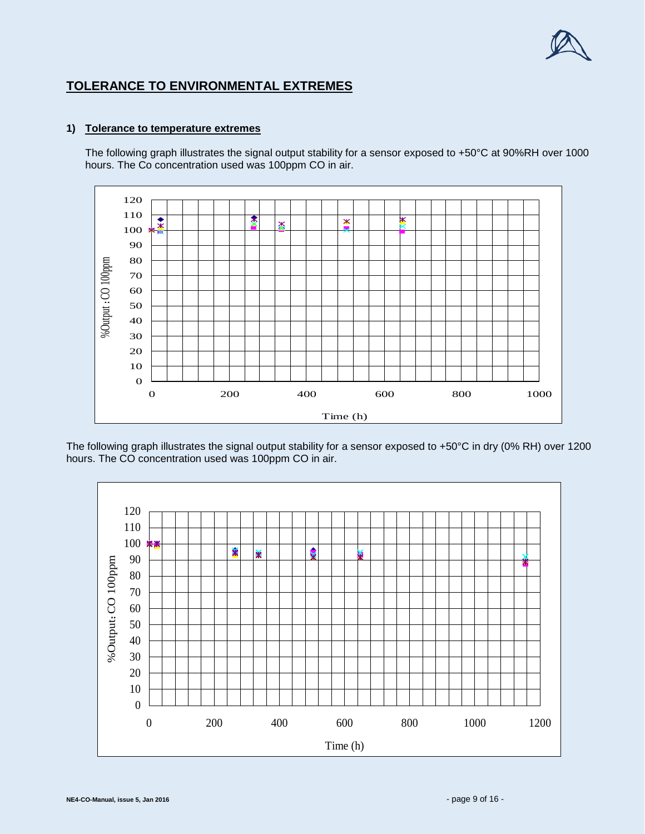

# **TOLERANCE TO ENVIRONMENTAL EXTREMES**

# **1) Tolerance to temperature extremes**

The following graph illustrates the signal output stability for a sensor exposed to +50°C at 90%RH over 1000 hours. The Co concentration used was 100ppm CO in air.



The following graph illustrates the signal output stability for a sensor exposed to +50°C in dry (0% RH) over 1200 hours. The CO concentration used was 100ppm CO in air.

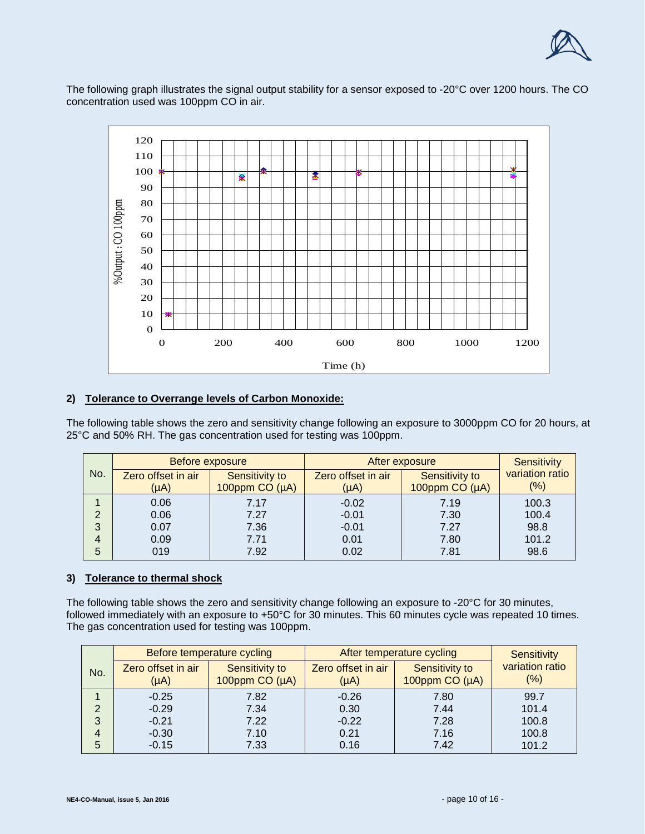

The following graph illustrates the signal output stability for a sensor exposed to -20°C over 1200 hours. The CO concentration used was 100ppm CO in air.



## **2) Tolerance to Overrange levels of Carbon Monoxide:**

The following table shows the zero and sensitivity change following an exposure to 3000ppm CO for 20 hours, at 25°C and 50% RH. The gas concentration used for testing was 100ppm.

|                | Before exposure<br>After exposure |                                      |                                 |                                      | <b>Sensitivity</b>        |
|----------------|-----------------------------------|--------------------------------------|---------------------------------|--------------------------------------|---------------------------|
| No.            | Zero offset in air<br>(µA)        | Sensitivity to<br>100ppm $CO(\mu A)$ | Zero offset in air<br>$(\mu A)$ | Sensitivity to<br>100ppm $CO(\mu A)$ | variation ratio<br>$(\%)$ |
|                |                                   |                                      |                                 |                                      |                           |
|                | 0.06                              | 7.17                                 | $-0.02$                         | 7.19                                 | 100.3                     |
| $\overline{2}$ | 0.06                              | 7.27                                 | $-0.01$                         | 7.30                                 | 100.4                     |
| 3              | 0.07                              | 7.36                                 | $-0.01$                         | 7.27                                 | 98.8                      |
| 4              | 0.09                              | 7.71                                 | 0.01                            | 7.80                                 | 101.2                     |
| 5              | 019                               | 7.92                                 | 0.02                            | 7.81                                 | 98.6                      |

#### **3) Tolerance to thermal shock**

The following table shows the zero and sensitivity change following an exposure to -20°C for 30 minutes, followed immediately with an exposure to +50°C for 30 minutes. This 60 minutes cycle was repeated 10 times. The gas concentration used for testing was 100ppm.

|                |                                 | Before temperature cycling           | After temperature cycling       |                                  | <b>Sensitivity</b>     |
|----------------|---------------------------------|--------------------------------------|---------------------------------|----------------------------------|------------------------|
| No.            | Zero offset in air<br>$(\mu A)$ | Sensitivity to<br>100ppm $CO(\mu A)$ | Zero offset in air<br>$(\mu A)$ | Sensitivity to<br>100ppm CO (µA) | variation ratio<br>(%) |
|                | $-0.25$                         | 7.82                                 | $-0.26$                         | 7.80                             | 99.7                   |
| $\overline{2}$ | $-0.29$                         | 7.34                                 | 0.30                            | 7.44                             | 101.4                  |
| 3              | $-0.21$                         | 7.22                                 | $-0.22$                         | 7.28                             | 100.8                  |
| 4              | $-0.30$                         | 7.10                                 | 0.21                            | 7.16                             | 100.8                  |
| 5              | $-0.15$                         | 7.33                                 | 0.16                            | 7.42                             | 101.2                  |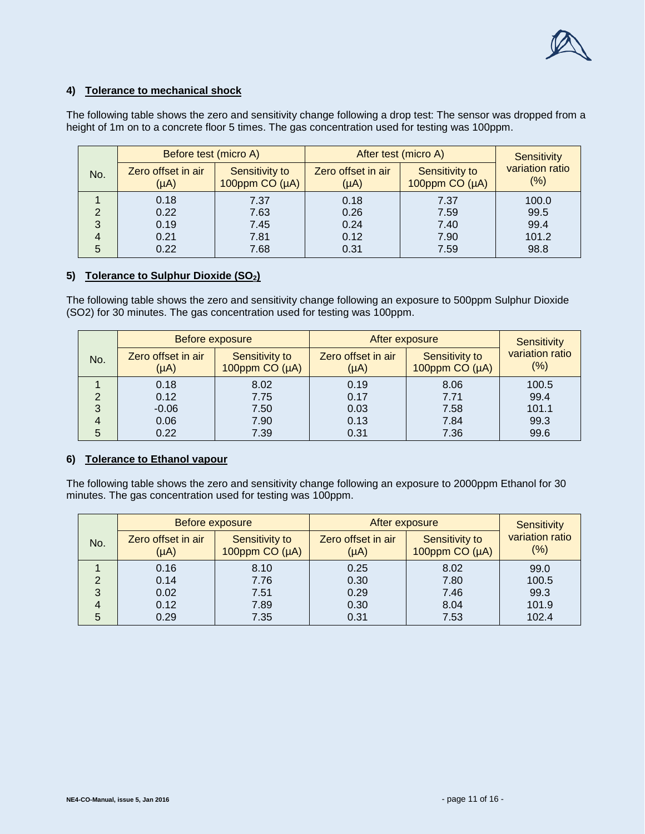

## **4) Tolerance to mechanical shock**

The following table shows the zero and sensitivity change following a drop test: The sensor was dropped from a height of 1m on to a concrete floor 5 times. The gas concentration used for testing was 100ppm.

|     | Before test (micro A)           |                                  | After test (micro A)            |                                  | <b>Sensitivity</b>      |
|-----|---------------------------------|----------------------------------|---------------------------------|----------------------------------|-------------------------|
| No. | Zero offset in air<br>$(\mu A)$ | Sensitivity to<br>100ppm CO (µA) | Zero offset in air<br>$(\mu A)$ | Sensitivity to<br>100ppm CO (µA) | variation ratio<br>(% ) |
|     | 0.18                            | 7.37                             | 0.18                            | 7.37                             | 100.0                   |
|     | 0.22                            | 7.63                             | 0.26                            | 7.59                             | 99.5                    |
| 3   | 0.19                            | 7.45                             | 0.24                            | 7.40                             | 99.4                    |
|     | 0.21                            | 7.81                             | 0.12                            | 7.90                             | 101.2                   |
| 5   | 0.22                            | 7.68                             | 0.31                            | 7.59                             | 98.8                    |

## **5) Tolerance to Sulphur Dioxide (SO2)**

The following table shows the zero and sensitivity change following an exposure to 500ppm Sulphur Dioxide (SO2) for 30 minutes. The gas concentration used for testing was 100ppm.

|                | Before exposure                 |                                  | After exposure                  |                                  | <b>Sensitivity</b>         |
|----------------|---------------------------------|----------------------------------|---------------------------------|----------------------------------|----------------------------|
| No.            | Zero offset in air<br>$(\mu A)$ | Sensitivity to<br>100ppm CO (µA) | Zero offset in air<br>$(\mu A)$ | Sensitivity to<br>100ppm CO (µA) | variation ratio<br>$(\% )$ |
|                | 0.18                            | 8.02                             | 0.19                            | 8.06                             | 100.5                      |
| 2              | 0.12                            | 7.75                             | 0.17                            | 7.71                             | 99.4                       |
| 3              | $-0.06$                         | 7.50                             | 0.03                            | 7.58                             | 101.1                      |
| $\overline{4}$ | 0.06                            | 7.90                             | 0.13                            | 7.84                             | 99.3                       |
| 5              | 0.22                            | 7.39                             | 0.31                            | 7.36                             | 99.6                       |

#### **6) Tolerance to Ethanol vapour**

The following table shows the zero and sensitivity change following an exposure to 2000ppm Ethanol for 30 minutes. The gas concentration used for testing was 100ppm.

|     | Before exposure                 |                                      | After exposure                  |                                      | <b>Sensitivity</b>      |
|-----|---------------------------------|--------------------------------------|---------------------------------|--------------------------------------|-------------------------|
| No. | Zero offset in air<br>$(\mu A)$ | Sensitivity to<br>100ppm $CO(\mu A)$ | Zero offset in air<br>$(\mu A)$ | Sensitivity to<br>100ppm $CO(\mu A)$ | variation ratio<br>(% ) |
|     | 0.16                            | 8.10                                 | 0.25                            | 8.02                                 | 99.0                    |
| 2   | 0.14                            | 7.76                                 | 0.30                            | 7.80                                 | 100.5                   |
| 3   | 0.02                            | 7.51                                 | 0.29                            | 7.46                                 | 99.3                    |
| 4   | 0.12                            | 7.89                                 | 0.30                            | 8.04                                 | 101.9                   |
| 5   | 0.29                            | 7.35                                 | 0.31                            | 7.53                                 | 102.4                   |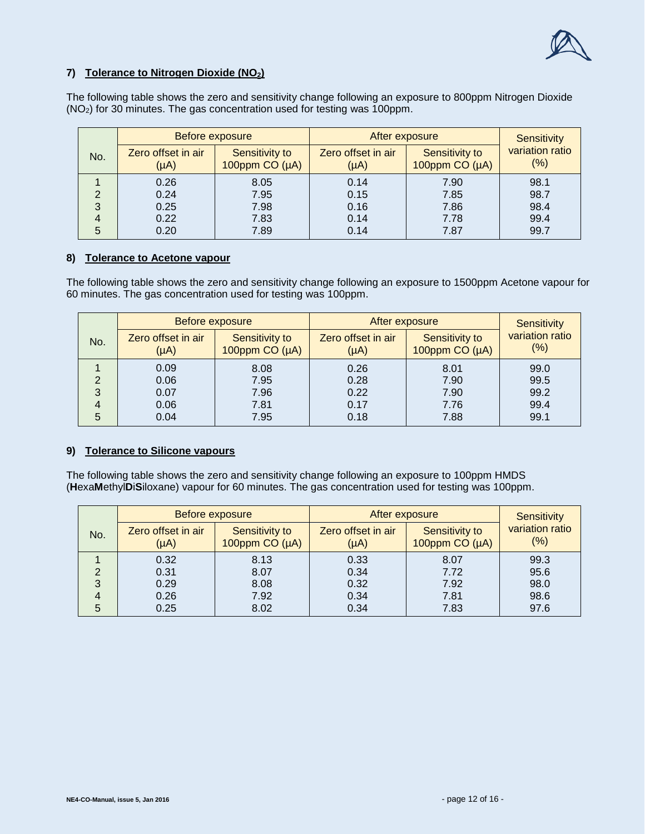

## **7) Tolerance to Nitrogen Dioxide (NO2)**

The following table shows the zero and sensitivity change following an exposure to 800ppm Nitrogen Dioxide (NO2) for 30 minutes. The gas concentration used for testing was 100ppm.

|     | Before exposure                 |                                      | After exposure                  |                                      | <b>Sensitivity</b>     |
|-----|---------------------------------|--------------------------------------|---------------------------------|--------------------------------------|------------------------|
| No. | Zero offset in air<br>$(\mu A)$ | Sensitivity to<br>100ppm $CO(\mu A)$ | Zero offset in air<br>$(\mu A)$ | Sensitivity to<br>100ppm $CO(\mu A)$ | variation ratio<br>(%) |
|     | 0.26                            | 8.05                                 | 0.14                            | 7.90                                 | 98.1                   |
| っ   | 0.24                            | 7.95                                 | 0.15                            | 7.85                                 | 98.7                   |
| 3   | 0.25                            | 7.98                                 | 0.16                            | 7.86                                 | 98.4                   |
| 4   | 0.22                            | 7.83                                 | 0.14                            | 7.78                                 | 99.4                   |
| 5   | 0.20                            | 7.89                                 | 0.14                            | 7.87                                 | 99.7                   |

#### **8) Tolerance to Acetone vapour**

The following table shows the zero and sensitivity change following an exposure to 1500ppm Acetone vapour for 60 minutes. The gas concentration used for testing was 100ppm.

|                | Before exposure                 |                                  | After exposure                  | <b>Sensitivity</b>                   |                         |
|----------------|---------------------------------|----------------------------------|---------------------------------|--------------------------------------|-------------------------|
| No.            | Zero offset in air<br>$(\mu A)$ | Sensitivity to<br>100ppm CO (µA) | Zero offset in air<br>$(\mu A)$ | Sensitivity to<br>100ppm $CO(\mu A)$ | variation ratio<br>(% ) |
|                | 0.09                            | 8.08                             | 0.26                            | 8.01                                 | 99.0                    |
| 2              | 0.06                            | 7.95                             | 0.28                            | 7.90                                 | 99.5                    |
| 3              | 0.07                            | 7.96                             | 0.22                            | 7.90                                 | 99.2                    |
| $\overline{4}$ | 0.06                            | 7.81                             | 0.17                            | 7.76                                 | 99.4                    |
| 5              | 0.04                            | 7.95                             | 0.18                            | 7.88                                 | 99.1                    |

#### **9) Tolerance to Silicone vapours**

The following table shows the zero and sensitivity change following an exposure to 100ppm HMDS (**H**exa**M**ethyl**D**i**S**iloxane) vapour for 60 minutes. The gas concentration used for testing was 100ppm.

|                | Before exposure                 |                                      | After exposure                  | <b>Sensitivity</b>                   |                        |
|----------------|---------------------------------|--------------------------------------|---------------------------------|--------------------------------------|------------------------|
| No.            | Zero offset in air<br>$(\mu A)$ | Sensitivity to<br>100ppm $CO(\mu A)$ | Zero offset in air<br>$(\mu A)$ | Sensitivity to<br>100ppm $CO(\mu A)$ | variation ratio<br>(%) |
|                | 0.32                            | 8.13                                 | 0.33                            | 8.07                                 | 99.3                   |
|                | 0.31                            | 8.07                                 | 0.34                            | 7.72                                 | 95.6                   |
| 3              | 0.29                            | 8.08                                 | 0.32                            | 7.92                                 | 98.0                   |
| $\overline{4}$ | 0.26                            | 7.92                                 | 0.34                            | 7.81                                 | 98.6                   |
| 5              | 0.25                            | 8.02                                 | 0.34                            | 7.83                                 | 97.6                   |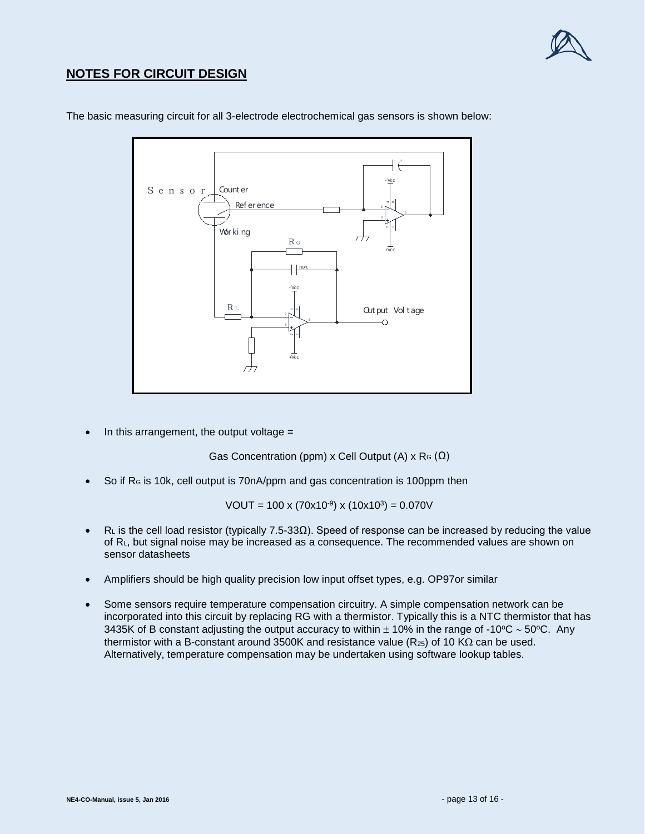

# **NOTES FOR CIRCUIT DESIGN**



The basic measuring circuit for all 3-electrode electrochemical gas sensors is shown below:

In this arrangement, the output voltage  $=$ 

Gas Concentration (ppm) x Cell Output (A) x R<sub>G</sub> ( $\Omega$ )

• So if RG is 10k, cell output is 70nA/ppm and gas concentration is 100ppm then

VOUT = 100 x (70x10<sup>-9</sup>) x (10x10<sup>3</sup>) = 0.070V

- $R<sub>L</sub>$  is the cell load resistor (typically 7.5-33 $\Omega$ ). Speed of response can be increased by reducing the value of RL, but signal noise may be increased as a consequence. The recommended values are shown on sensor datasheets
- Amplifiers should be high quality precision low input offset types, e.g. OP97or similar
- Some sensors require temperature compensation circuitry. A simple compensation network can be incorporated into this circuit by replacing RG with a thermistor. Typically this is a NTC thermistor that has 3435K of B constant adjusting the output accuracy to within ± 10% in the range of -10°C ~ 50°C. Any thermistor with a B-constant around 3500K and resistance value ( $R_{25}$ ) of 10 K $\Omega$  can be used. Alternatively, temperature compensation may be undertaken using software lookup tables.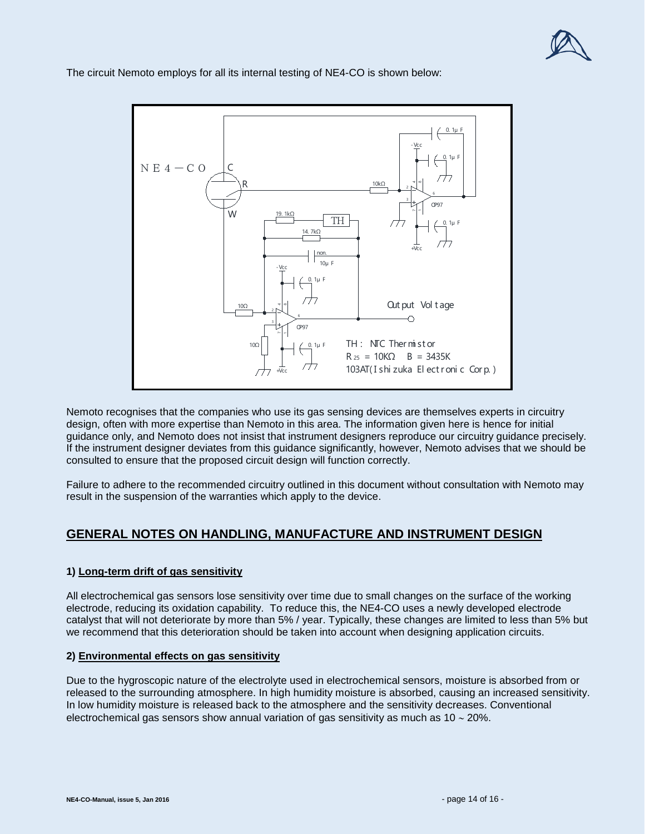

 $0.1\mu$ -Vcc 1μ F  $N E 4 - C O$ C 10kΩ R +/<br>+/<br>+/ 2 3 OP97 W 19. 1<sub>kΩ</sub> TH 0. 1μ F 14. 7kΩ +Vcc non. 10μ F -Vcc 0. 1μ F Out put Vol t age 10Ω +<br>+<br>+<br>+<br>+ 2  $\overline{\bigcap}$ 6 3 C<sub>pq7</sub> TH : NTC Ther mi st or 0. 1μ F 10Ω  $R_{25} = 10K\Omega$  B = 3435K 103AT( I shi zuka El ect r oni c Cor p. )+Vcc

The circuit Nemoto employs for all its internal testing of NE4-CO is shown below:

Nemoto recognises that the companies who use its gas sensing devices are themselves experts in circuitry design, often with more expertise than Nemoto in this area. The information given here is hence for initial guidance only, and Nemoto does not insist that instrument designers reproduce our circuitry guidance precisely. If the instrument designer deviates from this guidance significantly, however, Nemoto advises that we should be consulted to ensure that the proposed circuit design will function correctly.

Failure to adhere to the recommended circuitry outlined in this document without consultation with Nemoto may result in the suspension of the warranties which apply to the device.

# **GENERAL NOTES ON HANDLING, MANUFACTURE AND INSTRUMENT DESIGN**

## **1) Long-term drift of gas sensitivity**

All electrochemical gas sensors lose sensitivity over time due to small changes on the surface of the working electrode, reducing its oxidation capability. To reduce this, the NE4-CO uses a newly developed electrode catalyst that will not deteriorate by more than 5% / year. Typically, these changes are limited to less than 5% but we recommend that this deterioration should be taken into account when designing application circuits.

#### **2) Environmental effects on gas sensitivity**

Due to the hygroscopic nature of the electrolyte used in electrochemical sensors, moisture is absorbed from or released to the surrounding atmosphere. In high humidity moisture is absorbed, causing an increased sensitivity. In low humidity moisture is released back to the atmosphere and the sensitivity decreases. Conventional electrochemical gas sensors show annual variation of gas sensitivity as much as 10 ∼ 20%.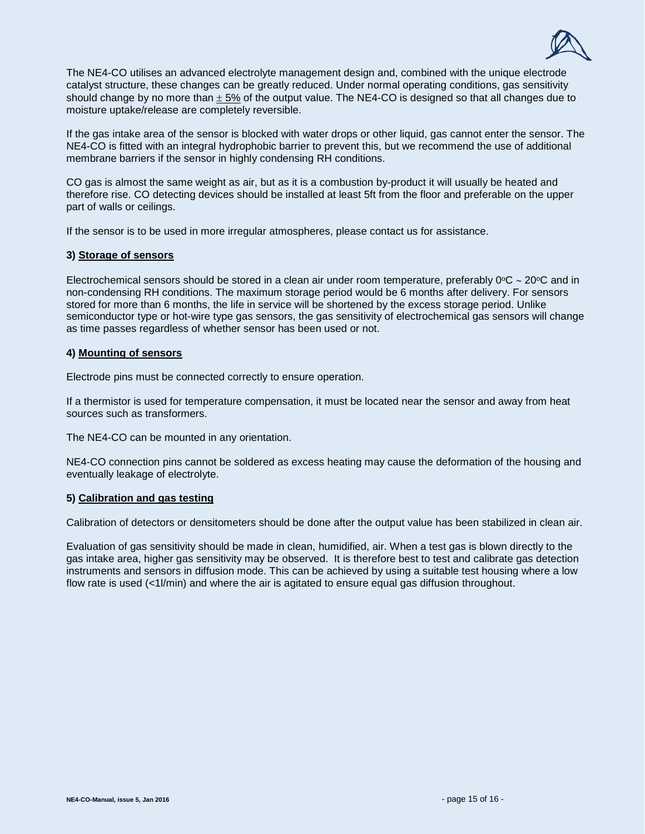

The NE4-CO utilises an advanced electrolyte management design and, combined with the unique electrode catalyst structure, these changes can be greatly reduced. Under normal operating conditions, gas sensitivity should change by no more than  $\pm$  5% of the output value. The NE4-CO is designed so that all changes due to moisture uptake/release are completely reversible.

If the gas intake area of the sensor is blocked with water drops or other liquid, gas cannot enter the sensor. The NE4-CO is fitted with an integral hydrophobic barrier to prevent this, but we recommend the use of additional membrane barriers if the sensor in highly condensing RH conditions.

CO gas is almost the same weight as air, but as it is a combustion by-product it will usually be heated and therefore rise. CO detecting devices should be installed at least 5ft from the floor and preferable on the upper part of walls or ceilings.

If the sensor is to be used in more irregular atmospheres, please contact us for assistance.

#### **3) Storage of sensors**

Electrochemical sensors should be stored in a clean air under room temperature, preferably 0°C ∼ 20°C and in non-condensing RH conditions. The maximum storage period would be 6 months after delivery. For sensors stored for more than 6 months, the life in service will be shortened by the excess storage period. Unlike semiconductor type or hot-wire type gas sensors, the gas sensitivity of electrochemical gas sensors will change as time passes regardless of whether sensor has been used or not.

## **4) Mounting of sensors**

Electrode pins must be connected correctly to ensure operation.

If a thermistor is used for temperature compensation, it must be located near the sensor and away from heat sources such as transformers.

The NE4-CO can be mounted in any orientation.

NE4-CO connection pins cannot be soldered as excess heating may cause the deformation of the housing and eventually leakage of electrolyte.

#### **5) Calibration and gas testing**

Calibration of detectors or densitometers should be done after the output value has been stabilized in clean air.

Evaluation of gas sensitivity should be made in clean, humidified, air. When a test gas is blown directly to the gas intake area, higher gas sensitivity may be observed. It is therefore best to test and calibrate gas detection instruments and sensors in diffusion mode. This can be achieved by using a suitable test housing where a low flow rate is used (<1l/min) and where the air is agitated to ensure equal gas diffusion throughout.